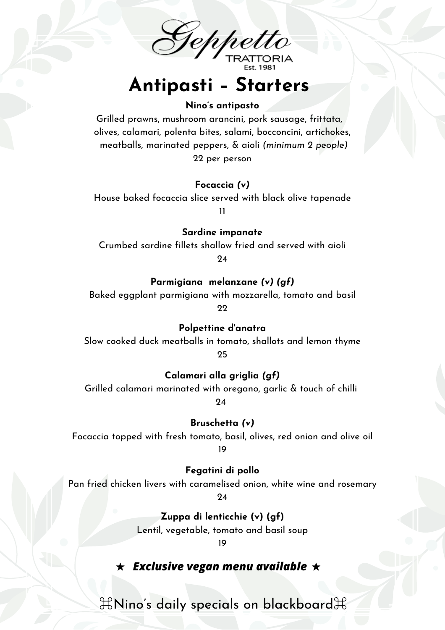

# **Antipasti – Starters**

#### **Nino's antipasto**

Grilled prawns, mushroom arancini, pork sausage, frittata, olives, calamari, polenta bites, salami, bocconcini, artichokes, meatballs, marinated peppers, & aioli *(minimum 2 people)* 22 per person

#### **Focaccia** *(v)*

House baked focaccia slice served with black olive tapenade 11

**Sardine impanate**

Crumbed sardine fillets shallow fried and served with aioli

24

#### **Parmigiana melanzane** *(v) (gf)*

Baked eggplant parmigiana with mozzarella, tomato and basil

22

**Polpettine d'anatra**

Slow cooked duck meatballs in tomato, shallots and lemon thyme 25

**Calamari alla griglia** *(gf)*

Grilled calamari marinated with oregano, garlic & touch of chilli

24

**Bruschetta** *(v)*

Focaccia topped with fresh tomato, basil, olives, red onion and olive oil 19

**Fegatini di pollo**

Pan fried chicken livers with caramelised onion, white wine and rosemary

 $24$ 

**Zuppa di lenticchie (v) (gf)**

Lentil, vegetable, tomato and basil soup

19

### *Exclusive vegan menu available*

 $\mathcal{H}$ Nino's daily specials on blackboard $\mathcal{H}$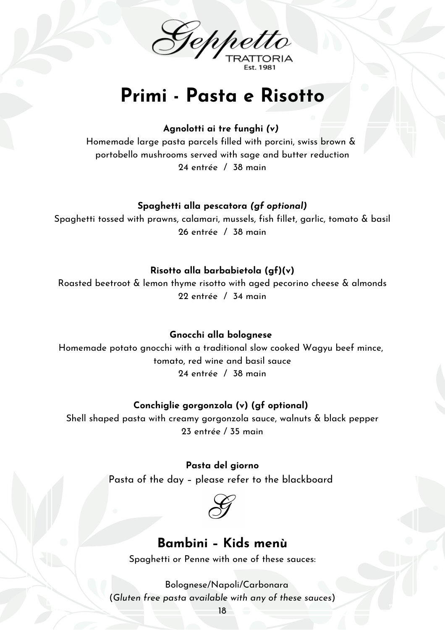

# **Primi - Pasta e Risotto**

**Agnolotti ai tre funghi** *(v)*

Homemade large pasta parcels filled with porcini, swiss brown & portobello mushrooms served with sage and butter reduction 24 entrée / 38 main

#### **Spaghetti alla pescatora** *(gf optional)*

Spaghetti tossed with prawns, calamari, mussels, fish fillet, garlic, tomato & basil 26 entrée / 38 main

#### **Risotto alla barbabietola (gf)(v)**

Roasted beetroot & lemon thyme risotto with aged pecorino cheese & almonds 22 entrée / 34 main

#### **Gnocchi alla bolognese**

Homemade potato gnocchi with a traditional slow cooked Wagyu beef mince, tomato, red wine and basil sauce 24 entrée / 38 main

#### **Conchiglie gorgonzola (v) (gf optional)**

Shell shaped pasta with creamy gorgonzola sauce, walnuts & black pepper 23 entrée / 35 main

> **Pasta del giorno** Pasta of the day – please refer to the blackboard



### **Bambini – Kids menù**

Spaghetti or Penne with one of these sauces:

Bolognese/Napoli/Carbonara (*Gluten free pasta available with any of these sauces*)

18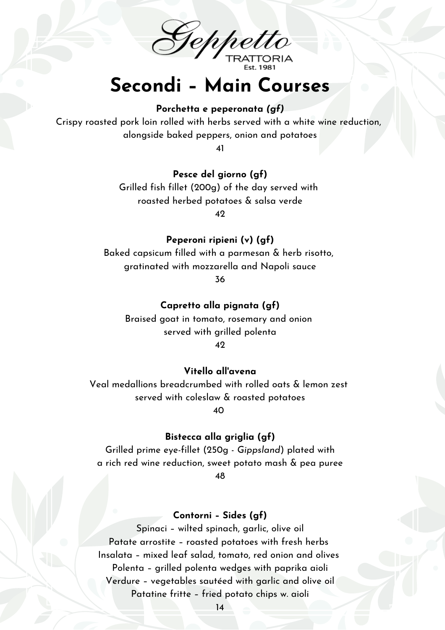Geppetto

# **Secondi – Main Courses**

#### **Porchetta e peperonata** *(gf)*

Crispy roasted pork loin rolled with herbs served with a white wine reduction, alongside baked peppers, onion and potatoes

41

#### **Pesce del giorno (gf)**

Grilled fish fillet (200g) of the day served with roasted herbed potatoes & salsa verde

42

#### **Peperoni ripieni (v) (gf)**

Baked capsicum filled with a parmesan & herb risotto, gratinated with mozzarella and Napoli sauce 36

#### **Capretto alla pignata (gf)**

Braised goat in tomato, rosemary and onion served with grilled polenta 42

#### **Vitello all'avena**

Veal medallions breadcrumbed with rolled oats & lemon zest served with coleslaw & roasted potatoes 40

#### **Bistecca alla griglia (gf)**

Grilled prime eye-fillet (250g - *Gippsland*) plated with a rich red wine reduction, sweet potato mash & pea puree 48

#### **Contorni – Sides (gf)**

Spinaci – wilted spinach, garlic, olive oil Patate arrostite – roasted potatoes with fresh herbs Insalata – mixed leaf salad, tomato, red onion and olives Polenta – grilled polenta wedges with paprika aioli Verdure – vegetables sautéed with garlic and olive oil Patatine fritte – fried potato chips w. aioli

14